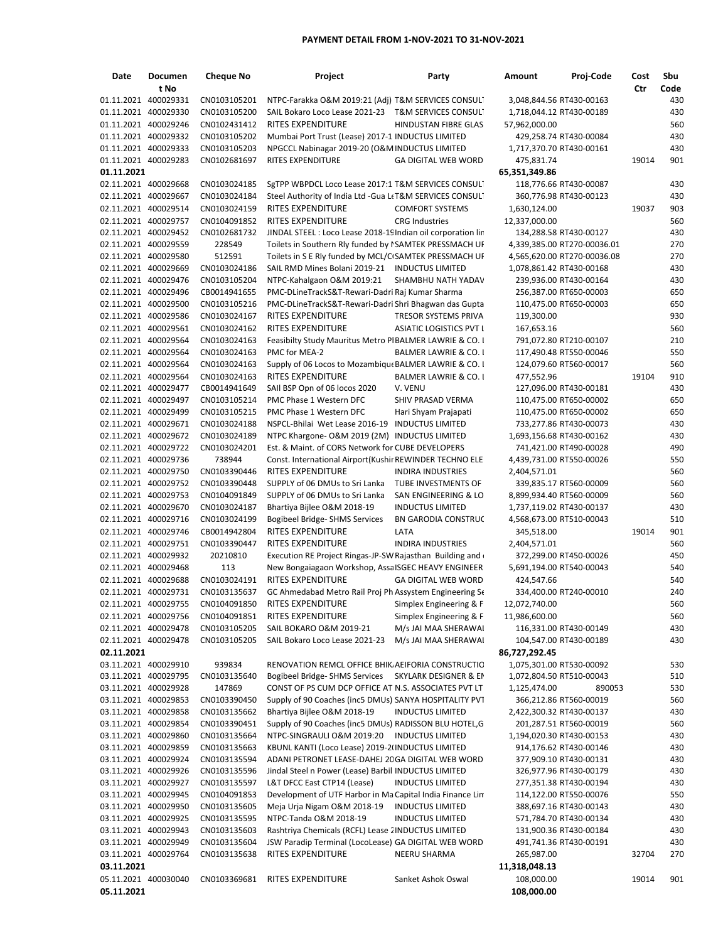## **PAYMENT DETAIL FROM 1‐NOV‐2021 TO 31‐NOV‐2021**

| Date                                         | <b>Documen</b> | <b>Cheque No</b>             | Project                                                                                                        | Party                                           | Amount                                    | Proj-Code                                        | Cost  | Sbu        |
|----------------------------------------------|----------------|------------------------------|----------------------------------------------------------------------------------------------------------------|-------------------------------------------------|-------------------------------------------|--------------------------------------------------|-------|------------|
|                                              | t No           |                              |                                                                                                                |                                                 |                                           |                                                  | Ctr   | Code       |
| 01.11.2021 400029331                         |                | CN0103105201                 | NTPC-Farakka O&M 2019:21 (Adj) T&M SERVICES CONSUL                                                             |                                                 | 3,048,844.56 RT430-00163                  |                                                  |       | 430        |
| 01.11.2021 400029330                         |                | CN0103105200                 | SAIL Bokaro Loco Lease 2021-23 T&M SERVICES CONSUL                                                             |                                                 | 1,718,044.12 RT430-00189                  |                                                  |       | 430        |
| 01.11.2021 400029246                         |                | CN0102431412                 | <b>RITES EXPENDITURE</b>                                                                                       | HINDUSTAN FIBRE GLAS                            | 57,962,000.00                             |                                                  |       | 560        |
| 01.11.2021 400029332                         |                | CN0103105202                 | Mumbai Port Trust (Lease) 2017-1 INDUCTUS LIMITED                                                              |                                                 |                                           | 429,258.74 RT430-00084                           |       | 430        |
| 01.11.2021 400029333                         |                | CN0103105203                 | NPGCCL Nabinagar 2019-20 (O&M INDUCTUS LIMITED                                                                 |                                                 | 1,717,370.70 RT430-00161                  |                                                  |       | 430        |
| 01.11.2021 400029283                         |                | CN0102681697                 | <b>RITES EXPENDITURE</b>                                                                                       | <b>GA DIGITAL WEB WORD</b>                      | 475,831.74                                |                                                  | 19014 | 901        |
| 01.11.2021                                   |                |                              |                                                                                                                |                                                 | 65,351,349.86                             |                                                  |       |            |
| 02.11.2021 400029668<br>02.11.2021 400029667 |                | CN0103024185<br>CN0103024184 | SgTPP WBPDCL Loco Lease 2017:1 T&M SERVICES CONSUL<br>Steel Authority of India Ltd - Gua LtT&M SERVICES CONSUL |                                                 |                                           | 118,776.66 RT430-00087<br>360,776.98 RT430-00123 |       | 430<br>430 |
| 02.11.2021 400029514                         |                | CN0103024159                 | <b>RITES EXPENDITURE</b>                                                                                       | <b>COMFORT SYSTEMS</b>                          | 1,630,124.00                              |                                                  | 19037 | 903        |
| 02.11.2021 400029757                         |                | CN0104091852                 | <b>RITES EXPENDITURE</b>                                                                                       | <b>CRG</b> Industries                           | 12,337,000.00                             |                                                  |       | 560        |
| 02.11.2021 400029452                         |                | CN0102681732                 | JINDAL STEEL : Loco Lease 2018-19 Indian oil corporation lin                                                   |                                                 |                                           | 134,288.58 RT430-00127                           |       | 430        |
| 02.11.2021 400029559                         |                | 228549                       | Toilets in Southern Rly funded by I SAMTEK PRESSMACH UF                                                        |                                                 |                                           | 4,339,385.00 RT270-00036.01                      |       | 270        |
| 02.11.2021 400029580                         |                | 512591                       | Toilets in S E Rly funded by MCL/C SAMTEK PRESSMACH UF                                                         |                                                 |                                           | 4,565,620.00 RT270-00036.08                      |       | 270        |
| 02.11.2021 400029669                         |                | CN0103024186                 | SAIL RMD Mines Bolani 2019-21 INDUCTUS LIMITED                                                                 |                                                 | 1,078,861.42 RT430-00168                  |                                                  |       | 430        |
| 02.11.2021 400029476                         |                | CN0103105204                 | NTPC-Kahalgaon O&M 2019:21                                                                                     | SHAMBHU NATH YADAV                              |                                           | 239,936.00 RT430-00164                           |       | 430        |
| 02.11.2021 400029496                         |                | CB0014941655                 | PMC-DLineTrackS&T-Rewari-Dadri Raj Kumar Sharma                                                                |                                                 |                                           | 256,387.00 RT650-00003                           |       | 650        |
| 02.11.2021 400029500                         |                | CN0103105216                 | PMC-DLineTrackS&T-Rewari-Dadri Shri Bhagwan das Gupta                                                          |                                                 |                                           | 110,475.00 RT650-00003                           |       | 650        |
| 02.11.2021 400029586                         |                | CN0103024167                 | RITES EXPENDITURE                                                                                              | TRESOR SYSTEMS PRIVA                            | 119,300.00                                |                                                  |       | 930        |
| 02.11.2021 400029561                         |                | CN0103024162                 | <b>RITES EXPENDITURE</b>                                                                                       | <b>ASIATIC LOGISTICS PVT L</b>                  | 167,653.16                                |                                                  |       | 560        |
| 02.11.2021 400029564                         |                | CN0103024163                 | Feasibilty Study Mauritus Metro PIBALMER LAWRIE & CO. I                                                        |                                                 |                                           | 791,072.80 RT210-00107                           |       | 210        |
| 02.11.2021 400029564                         |                | CN0103024163                 | PMC for MEA-2                                                                                                  | <b>BALMER LAWRIE &amp; CO. I</b>                |                                           | 117,490.48 RT550-00046                           |       | 550        |
| 02.11.2021 400029564                         |                | CN0103024163                 | Supply of 06 Locos to Mozambique BALMER LAWRIE & CO. I                                                         |                                                 |                                           | 124,079.60 RT560-00017                           |       | 560        |
| 02.11.2021 400029564                         |                | CN0103024163                 | <b>RITES EXPENDITURE</b>                                                                                       | BALMER LAWRIE & CO. I                           | 477.552.96                                |                                                  | 19104 | 910        |
| 02.11.2021 400029477                         |                | CB0014941649                 | SAII BSP Opn of 06 locos 2020                                                                                  | V. VENU                                         |                                           | 127,096.00 RT430-00181                           |       | 430        |
| 02.11.2021 400029497                         |                | CN0103105214                 | PMC Phase 1 Western DFC                                                                                        | SHIV PRASAD VERMA                               |                                           | 110,475.00 RT650-00002                           |       | 650        |
| 02.11.2021 400029499<br>02.11.2021 400029671 |                | CN0103105215<br>CN0103024188 | PMC Phase 1 Western DFC<br>NSPCL-Bhilai Wet Lease 2016-19                                                      | Hari Shyam Prajapati<br><b>INDUCTUS LIMITED</b> |                                           | 110,475.00 RT650-00002<br>733,277.86 RT430-00073 |       | 650<br>430 |
| 02.11.2021 400029672                         |                | CN0103024189                 | NTPC Khargone- O&M 2019 (2M) INDUCTUS LIMITED                                                                  |                                                 | 1,693,156.68 RT430-00162                  |                                                  |       | 430        |
| 02.11.2021 400029722                         |                | CN0103024201                 | Est. & Maint. of CORS Network for CUBE DEVELOPERS                                                              |                                                 |                                           | 741,421.00 RT490-00028                           |       | 490        |
| 02.11.2021 400029736                         |                | 738944                       | Const. International Airport (Kushir REWINDER TECHNO ELE                                                       |                                                 | 4,439,731.00 RT550-00026                  |                                                  |       | 550        |
| 02.11.2021 400029750                         |                | CN0103390446                 | <b>RITES EXPENDITURE</b>                                                                                       | <b>INDIRA INDUSTRIES</b>                        | 2,404,571.01                              |                                                  |       | 560        |
| 02.11.2021 400029752                         |                | CN0103390448                 | SUPPLY of 06 DMUs to Sri Lanka                                                                                 | TUBE INVESTMENTS OF                             |                                           | 339,835.17 RT560-00009                           |       | 560        |
| 02.11.2021 400029753                         |                | CN0104091849                 | SUPPLY of 06 DMUs to Sri Lanka                                                                                 | SAN ENGINEERING & LO                            | 8,899,934.40 RT560-00009                  |                                                  |       | 560        |
| 02.11.2021 400029670                         |                | CN0103024187                 | Bhartiya Bijlee O&M 2018-19                                                                                    | <b>INDUCTUS LIMITED</b>                         | 1,737,119.02 RT430-00137                  |                                                  |       | 430        |
| 02.11.2021 400029716                         |                | CN0103024199                 | Bogibeel Bridge- SHMS Services                                                                                 | BN GARODIA CONSTRUC                             | 4,568,673.00 RT510-00043                  |                                                  |       | 510        |
| 02.11.2021 400029746                         |                | CB0014942804                 | <b>RITES EXPENDITURE</b>                                                                                       | LATA                                            | 345,518.00                                |                                                  | 19014 | 901        |
| 02.11.2021 400029751                         |                | CN0103390447                 | <b>RITES EXPENDITURE</b>                                                                                       | <b>INDIRA INDUSTRIES</b>                        | 2,404,571.01                              |                                                  |       | 560        |
| 02.11.2021 400029932                         |                | 20210810                     | Execution RE Project Ringas-JP-SW Rajasthan Building and                                                       |                                                 |                                           | 372,299.00 RT450-00026                           |       | 450        |
| 02.11.2021 400029468                         |                | 113                          | New Bongaiagaon Workshop, Assa ISGEC HEAVY ENGINEER                                                            |                                                 | 5,691,194.00 RT540-00043                  |                                                  |       | 540        |
| 02.11.2021 400029688                         |                | CN0103024191                 | <b>RITES EXPENDITURE</b>                                                                                       | <b>GA DIGITAL WEB WORD</b>                      | 424,547.66                                |                                                  |       | 540        |
| 02.11.2021 400029731                         |                | CN0103135637                 | GC Ahmedabad Metro Rail Proj Ph Assystem Engineering Se                                                        |                                                 |                                           | 334,400.00 RT240-00010                           |       | 240        |
| 02.11.2021 400029755                         |                | CN0104091850                 | RITES EXPENDITURE                                                                                              | Simplex Engineering & F                         | 12,072,740.00                             |                                                  |       | 560        |
| 02.11.2021 400029756                         |                | CN0104091851                 | RITES EXPENDITURE                                                                                              | Simplex Engineering & F                         | 11,986,600.00                             |                                                  |       | 560        |
| 02.11.2021 400029478                         |                | CN0103105205                 | SAIL BOKARO O&M 2019-21                                                                                        | M/s JAI MAA SHERAWAI                            |                                           | 116,331.00 RT430-00149                           |       | 430        |
| 02.11.2021 400029478<br>02.11.2021           |                | CN0103105205                 | SAIL Bokaro Loco Lease 2021-23                                                                                 | M/s JAI MAA SHERAWAI                            |                                           | 104,547.00 RT430-00189                           |       | 430        |
| 03.11.2021 400029910                         |                | 939834                       | RENOVATION REMCL OFFICE BHIK AEIFORIA CONSTRUCTIC                                                              |                                                 | 86,727,292.45<br>1,075,301.00 RT530-00092 |                                                  |       | 530        |
| 03.11.2021 400029795                         |                | CN0103135640                 | Bogibeel Bridge- SHMS Services                                                                                 | SKYLARK DESIGNER & EN                           | 1,072,804.50 RT510-00043                  |                                                  |       | 510        |
| 03.11.2021 400029928                         |                | 147869                       | CONST OF PS CUM DCP OFFICE AT N.S. ASSOCIATES PVT LT                                                           |                                                 | 1,125,474.00                              | 890053                                           |       | 530        |
| 03.11.2021 400029853                         |                | CN0103390450                 | Supply of 90 Coaches (inc5 DMUs) SANYA HOSPITALITY PVT                                                         |                                                 |                                           | 366,212.86 RT560-00019                           |       | 560        |
| 03.11.2021 400029858                         |                | CN0103135662                 | Bhartiya Bijlee O&M 2018-19                                                                                    | <b>INDUCTUS LIMITED</b>                         | 2,422,300.32 RT430-00137                  |                                                  |       | 430        |
| 03.11.2021 400029854                         |                | CN0103390451                 | Supply of 90 Coaches (inc5 DMUs) RADISSON BLU HOTEL, G                                                         |                                                 |                                           | 201,287.51 RT560-00019                           |       | 560        |
| 03.11.2021 400029860                         |                | CN0103135664                 | NTPC-SINGRAULI O&M 2019:20                                                                                     | <b>INDUCTUS LIMITED</b>                         | 1,194,020.30 RT430-00153                  |                                                  |       | 430        |
| 03.11.2021 400029859                         |                | CN0103135663                 | KBUNL KANTI (Loco Lease) 2019-2(INDUCTUS LIMITED                                                               |                                                 |                                           | 914,176.62 RT430-00146                           |       | 430        |
| 03.11.2021 400029924                         |                | CN0103135594                 | ADANI PETRONET LEASE-DAHEJ 20 GA DIGITAL WEB WORD                                                              |                                                 |                                           | 377,909.10 RT430-00131                           |       | 430        |
| 03.11.2021 400029926                         |                | CN0103135596                 | Jindal Steel n Power (Lease) Barbil INDUCTUS LIMITED                                                           |                                                 |                                           | 326,977.96 RT430-00179                           |       | 430        |
| 03.11.2021 400029927                         |                | CN0103135597                 | L&T DFCC East CTP14 (Lease)                                                                                    | <b>INDUCTUS LIMITED</b>                         |                                           | 277,351.38 RT430-00194                           |       | 430        |
| 03.11.2021 400029945                         |                | CN0104091853                 | Development of UTF Harbor in Ma Capital India Finance Lin                                                      |                                                 |                                           | 114,122.00 RT550-00076                           |       | 550        |
| 03.11.2021 400029950                         |                | CN0103135605                 | Meja Urja Nigam O&M 2018-19                                                                                    | <b>INDUCTUS LIMITED</b>                         |                                           | 388,697.16 RT430-00143                           |       | 430        |
| 03.11.2021 400029925<br>03.11.2021 400029943 |                | CN0103135595<br>CN0103135603 | NTPC-Tanda O&M 2018-19<br>Rashtriya Chemicals (RCFL) Lease 2 INDUCTUS LIMITED                                  | <b>INDUCTUS LIMITED</b>                         |                                           | 571,784.70 RT430-00134<br>131,900.36 RT430-00184 |       | 430<br>430 |
| 03.11.2021 400029949                         |                | CN0103135604                 | JSW Paradip Terminal (LocoLease) GA DIGITAL WEB WORD                                                           |                                                 |                                           | 491,741.36 RT430-00191                           |       | 430        |
| 03.11.2021 400029764                         |                | CN0103135638                 | RITES EXPENDITURE                                                                                              | NEERU SHARMA                                    | 265,987.00                                |                                                  | 32704 | 270        |
| 03.11.2021                                   |                |                              |                                                                                                                |                                                 | 11,318,048.13                             |                                                  |       |            |
| 05.11.2021 400030040                         |                | CN0103369681                 | RITES EXPENDITURE                                                                                              | Sanket Ashok Oswal                              | 108,000.00                                |                                                  | 19014 | 901        |
| 05.11.2021                                   |                |                              |                                                                                                                |                                                 | 108,000.00                                |                                                  |       |            |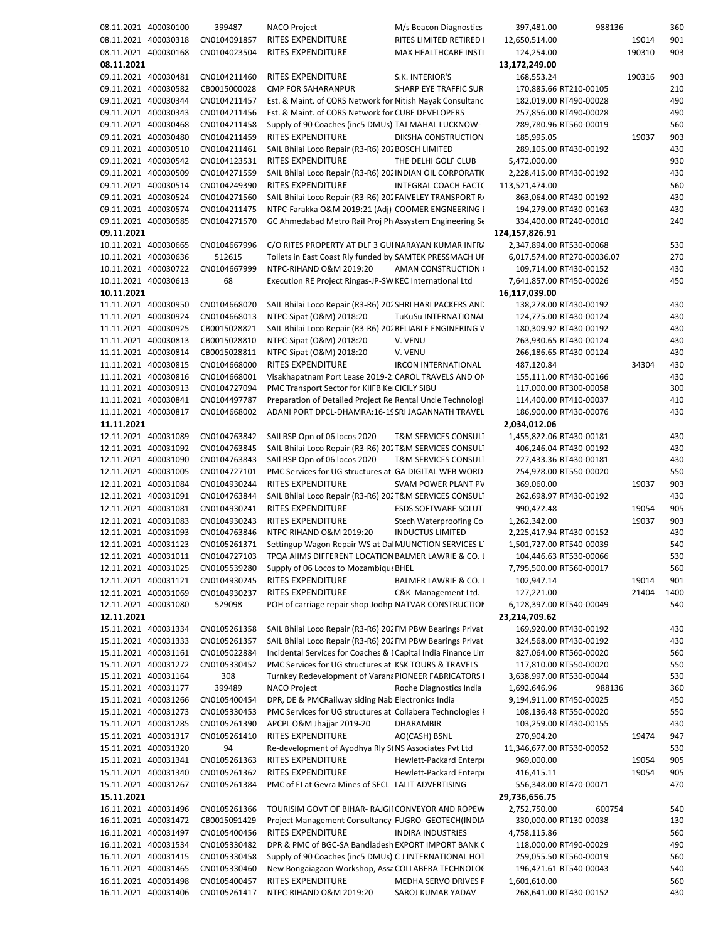```
08.11.2021 400030100 399487 NACO Project M/s Beacon Diagnostics 397,481.00 988136 360
08.11.2021 400030318 CN0104091857 RITES EXPENDITURE RITES LIMITED RETIRED 12,650,514.00 19014 901
08.11.2021 400030168 CN0104023504 RITES EXPENDITURE MAX HEALTHCARE INSTI 124,254.00 190310 903
08.11.2021 13,172,249.00
09.11.2021 400030481 CN0104211460 RITES EXPENDITURE S.K. INTERIOR'S 168.553.24 190316 903
09.11.2021 400030582 CB0015000028 CMP FOR SAHARANPUR SHARP EYE TRAFFIC SUR 170,885.66 RT210-00105 210
09.11.2021 400030344 CN0104211457 Est. & Maint. of CORS Network for Nitish Nayak Consultanc 182,019.00 RT490-00028 490
09.11.2021 400030343 CN0104211456 Est. & Maint. of CORS Network for CUBE DEVELOPERS 257,856.00 RT490‐00028 490
09.11.2021 400030468 CN0104211458 Supply of 90 Coaches (inc5 DMUs) TAJ MAHAL LUCKNOW‐ 289,780.96 RT560‐00019 560
09.11.2021 400030480 CN0104211459 RITES EXPENDITURE DIKSHA CONSTRUCTION 185,995.05 19037 903
09.11.2021 400030510 CN0104211461 SAIL Bhilai Loco Repair (R3‐R6) 202BOSCH LIMITED 289,105.00 RT430‐00192 430
09.11.2021 400030542 CN0104123531 RITES EXPENDITURE THE DELHI GOLF CLUB 5,472,000.00 930
09.11.2021 400030509 CN0104271559 SAIL Bhilai Loco Repair (R3-R6) 2021NDIAN OIL CORPORATI(2,228,415.00 RT430-00192 430
09.11.2021 400030514 CN0104249390 RITES EXPENDITURE INTEGRAL COACH FACT( 113,521,474.00 560
09.11.2021 400030524 CN0104271560 SAIL Bhilai Loco Repair (R3-R6) 202FAIVELEY TRANSPORT RA 863,064.00 RT430-00192 430
09.11.2021 400030574 CN0104211475 NTPC-Farakka O&M 2019:21 (Adj) COOMER ENGNEERING I 194,279.00 RT430-00163 430
09.11.2021 400030585 CN0104271570 GC Ahmedabad Metro Rail Proj Ph Assystem Engineering Se 334,400.00 RT240‐00010 240
09.11.2021 124,157,826.91
10.11.2021 400030665 CN0104667996 C/O RITES PROPERTY AT DLF 3 GUINARAYAN KUMAR INFR/ 2,347,894.00 RT530-00068 530
10.11.2021 400030636 512615 Toilets in East Coast Rly funded by SAMTEK PRESSMACH UR 6,017,574.00 RT270‐00036.07 270
10.11.2021 400030722 CN0104667999 NTPC‐RIHAND O&M 2019:20 AMAN CONSTRUCTION C 109,714.00 RT430‐00152 430
10.11.2021 400030613 68 Execution RE Project Ringas‐JP‐SWKEC International Ltd 7,641,857.00 RT450‐00026 450
10.11.2021 16,117,039.00
11.11.2021 400030950 CN0104668020 SAIL Bhilai Loco Repair (R3‐R6) 202SHRI HARI PACKERS AND 138,278.00 RT430‐00192 430
11.11.2021 400030924 CN0104668013 NTPC‐Sipat (O&M) 2018:20 TuKuSu INTERNATIONAL 124,775.00 RT430‐00124 430
11.11.2021 400030925 CB0015028821 SAIL Bhilai Loco Repair (R3‐R6) 202RELIABLE ENGINERING W 180,309.92 RT430‐00192 430
11.11.2021 400030813 CB0015028810 NTPC‐Sipat (O&M) 2018:20 V. VENU 263,930.65 RT430‐00124 430
11.11.2021 400030814 CB0015028811 NTPC‐Sipat (O&M) 2018:20 V. VENU 266,186.65 RT430‐00124 430
11.11.2021 400030815 CN0104668000 RITES EXPENDITURE IRCON INTERNATIONAL 487,120.84 34304 430
11.11.2021 400030816 CN0104668001 Visakhapatnam Port Lease 2019‐21CAROL TRAVELS AND ON 155,111.00 RT430‐00166 430
11.11.2021 400030913 CN0104727094 PMC Transport Sector for KIIFB KerCICILY SIBU 117,000.00 RT300‐00058 300
11.11.2021 400030841 CN0104497787 Preparation of Detailed Project Re Rental Uncle Technologi 114,400.00 RT410‐00037 410
11.11.2021 400030817 CN0104668002 ADANI PORT DPCL‐DHAMRA:16‐19SRI JAGANNATH TRAVEL 186,900.00 RT430‐00076 430
11.11.2021 2,034,012.06
12.11.2021 400031089 CN0104763842 SAIl BSP Opn of 06 locos 2020 T&M SERVICES CONSULT 1,455,822.06 RT430‐00181 430
12.11.2021 400031092 CN0104763845 SAIL Bhilai Loco Repair (R3‐R6) 202T&M SERVICES CONSULT 406,246.04 RT430‐00192 430
12.11.2021 400031090 CN0104763843 SAIl BSP Opn of 06 locos 2020 T&M SERVICES CONSULT 227,433.36 RT430‐00181 430
12.11.2021 400031005 CN0104727101 PMC Services for UG structures at GA DIGITAL WEB WORD 254,978.00 RT550‐00020 550
12.11.2021 400031084 CN0104930244 RITES EXPENDITURE SVAM POWER PLANT PV 369,060.00 19037 903
12.11.2021 400031091 CN0104763844 SAIL Bhilai Loco Repair (R3‐R6) 202T&M SERVICES CONSULT 262,698.97 RT430‐00192 430
12.11.2021 400031081 CN0104930241 RITES EXPENDITURE ESDS SOFTWARE SOLUT 990,472.48 19054 905
12.11.2021 400031083 CN0104930243 RITES EXPENDITURE Stech Waterproofing Co 1,262,342.00 19037 903
12.11.2021 400031093 CN0104763846 NTPC‐RIHAND O&M 2019:20 INDUCTUS LIMITED 2,225,417.94 RT430‐00152 430
12.11.2021 400031123 CN0105261371 Settingup Wagon Repair WS at DalMJUNCTION SERVICES L 1,501,727.00 RT540-00039 540
12.11.2021 400031011 CN0104727103 TPQA AIIMS DIFFERENT LOCATION BALMER LAWRIE & CO. I 104,446.63 RT530-00066 530
12.11.2021 400031025 CN0105539280 Supply of 06 Locos to Mozambique BHEL 7,795,500.00 RT560-00017 560
12.11.2021 400031121 CN0104930245 RITES EXPENDITURE BALMER LAWRIE & CO. 1 102,947.14 19014 9014 901
12.11.2021 400031069 CN0104930237 RITES EXPENDITURE C&K  Management Ltd. 127,221.00 21404 1400
12.11.2021 400031080 529098 POH of carriage repair shop Jodhp NATVAR CONSTRUCTION 6,128,397.00 RT540‐00049 540
12.11.2021 23,214,709.62
15.11.2021 400031334 CN0105261358 SAIL Bhilai Loco Repair (R3‐R6) 202FM PBW Bearings Privat 169,920.00 RT430‐00192 430
15.11.2021 400031333 CN0105261357 SAIL Bhilai Loco Repair (R3‐R6) 202FM PBW Bearings Privat 324,568.00 RT430‐00192 430
15.11.2021 400031161 CN0105022884 Incidental Services for Coaches & DCapital India Finance Lim 827,064.00 RT560‐00020 560
15.11.2021 400031272 CN0105330452 PMC Services for UG structures at KSK TOURS & TRAVELS 117,810.00 RT550‐00020 550
15.11.2021 400031164 308 Turnkey Redevelopment of VaranaPIONEER FABRICATORS P 3,638,997.00 RT530‐00044 530
15.11.2021 400031177 399489 NACO Project Roche Diagnostics India 1,692,646.96 988136 360
15.11.2021 400031266 CN0105400454 DPR, DE & PMCRailway siding Nab Electronics India 9,194,911.00 RT450‐00025 450
15.11.2021 400031273 CN0105330453 PMC Services for UG structures at Collabera Technologies I 108,136.48 RT550-00020 550
15.11.2021 400031285 CN0105261390 APCPL O&M Jhajjar 2019‐20 DHARAMBIR 103,259.00 RT430‐00155 430
15.11.2021 400031317 CN0105261410 RITES EXPENDITURE AO(CASH) BSNL 270,904.20 19474 947
15.11.2021 400031320 94 Re‐development of Ayodhya Rly StNS Associates Pvt Ltd 11,346,677.00 RT530‐00052 530
15.11.2021 400031341 CN0105261363 RITES EXPENDITURE Hewlett‐Packard Enterpr 969,000.00 19054 905
15.11.2021 400031340 CN0105261362 RITES EXPENDITURE Hewlett‐Packard Enterpr 416,415.11 19054 905
15.11.2021 400031267 CN0105261384 PMC of EI at Gevra Mines of SECL LALIT ADVERTISING 556,348.00 RT470‐00071 470
15.11.2021 29,736,656.75
16.11.2021 400031496 CN0105261366 TOURISIM GOVT OF BIHAR‐ RAJGIRCONVEYOR AND ROPEW 2,752,750.00 600754 540
16.11.2021 400031472 CB0015091429 Project Management Consultancy FUGRO  GEOTECH(INDIA 330,000.00 RT130‐00038 130
16.11.2021 400031497 CN0105400456 RITES EXPENDITURE INDIRA INDUSTRIES 4,758,115.86 560
16.11.2021 400031534 CN0105330482 DPR & PMC of BGC‐SA BandladeshEXPORT IMPORT BANK O 118,000.00 RT490‐00029 490
16.11.2021 400031415 CN0105330458 Supply of 90 Coaches (inc5 DMUs) C J INTERNATIONAL HOT 259,055.50 RT560‐00019 560
16.11.2021 400031465 CN0105330460 New Bongaiagaon Workshop, AssaCOLLABERA TECHNOLOG 196,471.61 RT540‐00043 540
16.11.2021 400031498 CN0105400457 RITES EXPENDITURE MEDHA SERVO DRIVES P 1,601,610.00 560
16.11.2021 400031406 CN0105261417 NTPC‐RIHAND O&M 2019:20 SAROJ KUMAR YADAV 268,641.00 RT430‐00152 430
```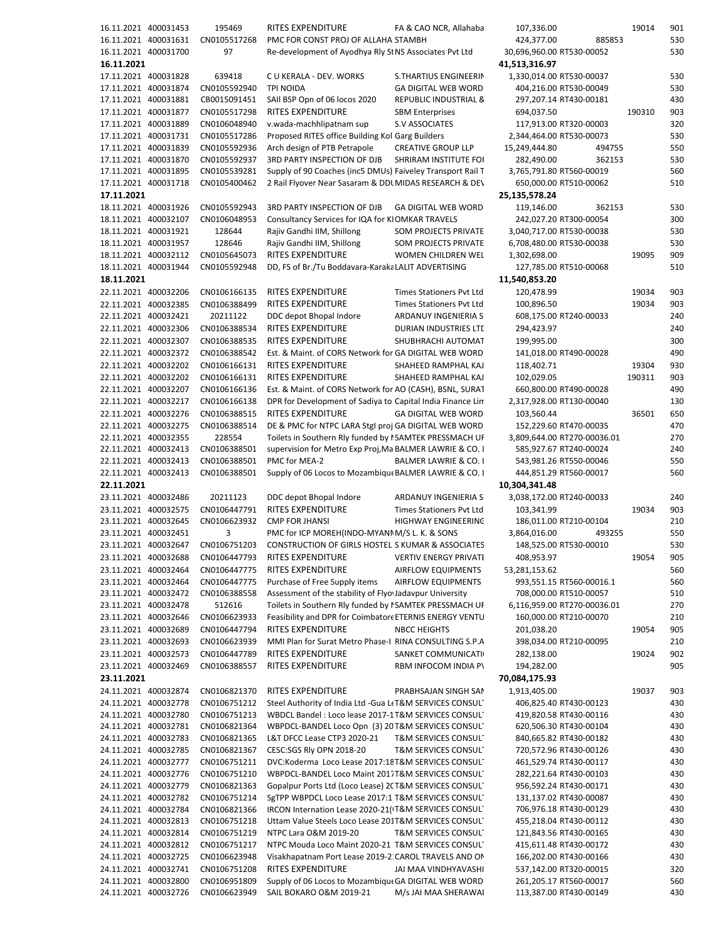|            | 16.11.2021 400031453 | 195469       | RITES EXPENDITURE                                          | FA & CAO NCR, Allahaba           | 107,336.00                  | 19014  | 901 |
|------------|----------------------|--------------|------------------------------------------------------------|----------------------------------|-----------------------------|--------|-----|
|            | 16.11.2021 400031631 | CN0105517268 | PMC FOR CONST PROJ OF ALLAHA STAMBH                        |                                  | 424,377.00<br>885853        |        | 530 |
|            | 16.11.2021 400031700 | 97           | Re-development of Ayodhya Rly St NS Associates Pvt Ltd     |                                  | 30,696,960.00 RT530-00052   |        | 530 |
| 16.11.2021 |                      |              |                                                            |                                  | 41,513,316.97               |        |     |
|            |                      |              |                                                            |                                  |                             |        |     |
|            | 17.11.2021 400031828 | 639418       | C U KERALA - DEV. WORKS                                    | S.THARTIUS ENGINEERIN            | 1,330,014.00 RT530-00037    |        | 530 |
|            | 17.11.2021 400031874 | CN0105592940 | <b>TPI NOIDA</b>                                           | <b>GA DIGITAL WEB WORD</b>       | 404,216.00 RT530-00049      |        | 530 |
|            | 17.11.2021 400031881 | CB0015091451 | SAII BSP Opn of 06 locos 2020                              | <b>REPUBLIC INDUSTRIAL &amp;</b> | 297,207.14 RT430-00181      |        | 430 |
|            | 17.11.2021 400031877 | CN0105517298 | <b>RITES EXPENDITURE</b>                                   | <b>SBM Enterprises</b>           | 694,037.50                  | 190310 | 903 |
|            | 17.11.2021 400031889 | CN0106048940 | v.wada-machhlipatnam sup                                   | <b>S.V ASSOCIATES</b>            | 117,913.00 RT320-00003      |        | 320 |
|            | 17.11.2021 400031731 | CN0105517286 | Proposed RITES office Building Kol Garg Builders           |                                  | 2,344,464.00 RT530-00073    |        | 530 |
|            | 17.11.2021 400031839 | CN0105592936 | Arch design of PTB Petrapole                               | <b>CREATIVE GROUP LLP</b>        | 15,249,444.80<br>494755     |        | 550 |
|            | 17.11.2021 400031870 | CN0105592937 | 3RD PARTY INSPECTION OF DJB                                | SHRIRAM INSTITUTE FOI            | 282,490.00<br>362153        |        | 530 |
|            | 17.11.2021 400031895 | CN0105539281 | Supply of 90 Coaches (inc5 DMUs) Faiveley Transport Rail T |                                  | 3,765,791.80 RT560-00019    |        | 560 |
|            |                      |              |                                                            |                                  |                             |        |     |
|            | 17.11.2021 400031718 | CN0105400462 | 2 Rail Flyover Near Sasaram & DDL MIDAS RESEARCH & DE\     |                                  | 650,000.00 RT510-00062      |        | 510 |
| 17.11.2021 |                      |              |                                                            |                                  | 25,135,578.24               |        |     |
|            | 18.11.2021 400031926 | CN0105592943 | 3RD PARTY INSPECTION OF DJB                                | <b>GA DIGITAL WEB WORD</b>       | 119,146.00<br>362153        |        | 530 |
|            | 18.11.2021 400032107 | CN0106048953 | Consultancy Services for IQA for KIOMKAR TRAVELS           |                                  | 242,027.20 RT300-00054      |        | 300 |
|            | 18.11.2021 400031921 | 128644       | Rajiv Gandhi IIM, Shillong                                 | SOM PROJECTS PRIVATE             | 3,040,717.00 RT530-00038    |        | 530 |
|            | 18.11.2021 400031957 | 128646       | Rajiv Gandhi IIM, Shillong                                 | <b>SOM PROJECTS PRIVATE</b>      | 6,708,480.00 RT530-00038    |        | 530 |
|            | 18.11.2021 400032112 | CN0105645073 | <b>RITES EXPENDITURE</b>                                   | WOMEN CHILDREN WEL               | 1,302,698.00                | 19095  | 909 |
|            | 18.11.2021 400031944 | CN0105592948 | DD, FS of Br./Tu Boddavara-KarakaLALIT ADVERTISING         |                                  | 127,785.00 RT510-00068      |        | 510 |
|            |                      |              |                                                            |                                  |                             |        |     |
| 18.11.2021 |                      |              |                                                            |                                  | 11,540,853.20               |        |     |
|            | 22.11.2021 400032206 | CN0106166135 | RITES EXPENDITURE                                          | Times Stationers Pvt Ltd         | 120,478.99                  | 19034  | 903 |
|            | 22.11.2021 400032385 | CN0106388499 | <b>RITES EXPENDITURE</b>                                   | <b>Times Stationers Pvt Ltd</b>  | 100,896.50                  | 19034  | 903 |
|            | 22.11.2021 400032421 | 20211122     | DDC depot Bhopal Indore                                    | ARDANUY INGENIERIA S             | 608,175.00 RT240-00033      |        | 240 |
|            | 22.11.2021 400032306 | CN0106388534 | <b>RITES EXPENDITURE</b>                                   | DURIAN INDUSTRIES LTD            | 294,423.97                  |        | 240 |
|            | 22.11.2021 400032307 | CN0106388535 | <b>RITES EXPENDITURE</b>                                   | SHUBHRACHI AUTOMAT               | 199,995.00                  |        | 300 |
|            | 22.11.2021 400032372 | CN0106388542 | Est. & Maint. of CORS Network for GA DIGITAL WEB WORD      |                                  | 141,018.00 RT490-00028      |        | 490 |
|            |                      |              |                                                            |                                  |                             |        |     |
|            | 22.11.2021 400032202 | CN0106166131 | <b>RITES EXPENDITURE</b>                                   | SHAHEED RAMPHAL KAJ              | 118,402.71                  | 19304  | 930 |
|            | 22.11.2021 400032202 | CN0106166131 | <b>RITES EXPENDITURE</b>                                   | SHAHEED RAMPHAL KAJ              | 102,029.05                  | 190311 | 903 |
|            | 22.11.2021 400032207 | CN0106166136 | Est. & Maint. of CORS Network for AO (CASH), BSNL, SURAT   |                                  | 660,800.00 RT490-00028      |        | 490 |
|            | 22.11.2021 400032217 | CN0106166138 | DPR for Development of Sadiya to Capital India Finance Lin |                                  | 2,317,928.00 RT130-00040    |        | 130 |
|            | 22.11.2021 400032276 | CN0106388515 | <b>RITES EXPENDITURE</b>                                   | <b>GA DIGITAL WEB WORD</b>       | 103,560.44                  | 36501  | 650 |
|            | 22.11.2021 400032275 | CN0106388514 | DE & PMC for NTPC LARA Stgl proj GA DIGITAL WEB WORD       |                                  | 152,229.60 RT470-00035      |        | 470 |
|            | 22.11.2021 400032355 | 228554       | Toilets in Southern Rly funded by I SAMTEK PRESSMACH UF    |                                  | 3,809,644.00 RT270-00036.01 |        | 270 |
|            | 22.11.2021 400032413 | CN0106388501 | supervision for Metro Exp Proj, Ma BALMER LAWRIE & CO. I   |                                  | 585,927.67 RT240-00024      |        | 240 |
|            |                      |              |                                                            |                                  |                             |        |     |
|            | 22.11.2021 400032413 | CN0106388501 | PMC for MEA-2                                              | BALMER LAWRIE & CO. I            | 543,981.26 RT550-00046      |        | 550 |
|            | 22.11.2021 400032413 | CN0106388501 | Supply of 06 Locos to Mozambique BALMER LAWRIE & CO. I     |                                  | 444,851.29 RT560-00017      |        | 560 |
| 22.11.2021 |                      |              |                                                            |                                  | 10,304,341.48               |        |     |
|            | 23.11.2021 400032486 | 20211123     | DDC depot Bhopal Indore                                    | ARDANUY INGENIERIA S             | 3,038,172.00 RT240-00033    |        | 240 |
|            | 23.11.2021 400032575 | CN0106447791 | <b>RITES EXPENDITURE</b>                                   | Times Stationers Pvt Ltd         | 103,341.99                  | 19034  | 903 |
|            | 23.11.2021 400032645 | CN0106623932 | <b>CMP FOR JHANSI</b>                                      | HIGHWAY ENGINEERING              | 186,011.00 RT210-00104      |        | 210 |
|            | 23.11.2021 400032451 | 3            | PMC for ICP MOREH(INDO-MYANIM/S L. K. & SONS               |                                  | 3,864,016.00<br>493255      |        | 550 |
|            | 23.11.2021 400032647 | CN0106751203 | CONSTRUCTION OF GIRLS HOSTEL S KUMAR & ASSOCIATES          |                                  | 148,525.00 RT530-00010      |        | 530 |
|            | 23.11.2021 400032688 | CN0106447793 | RITES EXPENDITURE                                          |                                  | 408,953.97                  | 19054  | 905 |
|            |                      |              |                                                            | VERTIV ENERGY PRIVATI            |                             |        |     |
|            | 23.11.2021 400032464 | CN0106447775 | RITES EXPENDITURE                                          | <b>AIRFLOW EQUIPMENTS</b>        | 53,281,153.62               |        | 560 |
|            | 23.11.2021 400032464 | CN0106447775 | Purchase of Free Supply items                              | <b>AIRFLOW EQUIPMENTS</b>        | 993,551.15 RT560-00016.1    |        | 560 |
|            | 23.11.2021 400032472 | CN0106388558 | Assessment of the stability of Flyo Jadavpur University    |                                  | 708,000.00 RT510-00057      |        | 510 |
|            | 23.11.2021 400032478 | 512616       | Toilets in Southern Rly funded by I SAMTEK PRESSMACH UF    |                                  | 6,116,959.00 RT270-00036.01 |        | 270 |
|            | 23.11.2021 400032646 | CN0106623933 | Feasibility and DPR for Coimbator ETERNIS ENERGY VENTU     |                                  | 160,000.00 RT210-00070      |        | 210 |
|            | 23.11.2021 400032689 | CN0106447794 | <b>RITES EXPENDITURE</b>                                   | <b>NBCC HEIGHTS</b>              | 201,038.20                  | 19054  | 905 |
|            | 23.11.2021 400032693 | CN0106623939 | MMI Plan for Surat Metro Phase-I RINA CONSULTING S.P.A     |                                  | 398,034.00 RT210-00095      |        | 210 |
|            | 23.11.2021 400032573 | CN0106447789 | RITES EXPENDITURE                                          | SANKET COMMUNICATI               | 282,138.00                  | 19024  | 902 |
|            |                      |              |                                                            |                                  |                             |        |     |
|            | 23.11.2021 400032469 | CN0106388557 | RITES EXPENDITURE                                          | RBM INFOCOM INDIA PV             | 194,282.00                  |        | 905 |
| 23.11.2021 |                      |              |                                                            |                                  | 70,084,175.93               |        |     |
|            | 24.11.2021 400032874 | CN0106821370 | <b>RITES EXPENDITURE</b>                                   | PRABHSAJAN SINGH SAM             | 1,913,405.00                | 19037  | 903 |
|            | 24.11.2021 400032778 | CN0106751212 | Steel Authority of India Ltd - Gua LtT&M SERVICES CONSUL   |                                  | 406,825.40 RT430-00123      |        | 430 |
|            | 24.11.2021 400032780 | CN0106751213 | WBDCL Bandel: Loco lease 2017-1T&M SERVICES CONSUL         |                                  | 419,820.58 RT430-00116      |        | 430 |
|            | 24.11.2021 400032781 | CN0106821364 | WBPDCL-BANDEL Loco Opn (3) 20 T&M SERVICES CONSUL          |                                  | 620,506.30 RT430-00104      |        | 430 |
|            | 24.11.2021 400032783 | CN0106821365 | L&T DFCC Lease CTP3 2020-21                                | T&M SERVICES CONSUL'             | 840,665.82 RT430-00182      |        | 430 |
|            |                      |              |                                                            |                                  |                             |        |     |
|            | 24.11.2021 400032785 | CN0106821367 | CESC:SGS Rly OPN 2018-20                                   | T&M SERVICES CONSUL'             | 720,572.96 RT430-00126      |        | 430 |
|            | 24.11.2021 400032777 | CN0106751211 | DVC:Koderma Loco Lease 2017:18T&M SERVICES CONSUL          |                                  | 461,529.74 RT430-00117      |        | 430 |
|            | 24.11.2021 400032776 | CN0106751210 | WBPDCL-BANDEL Loco Maint 2017T&M SERVICES CONSUL           |                                  | 282,221.64 RT430-00103      |        | 430 |
|            | 24.11.2021 400032779 | CN0106821363 | Gopalpur Ports Ltd (Loco Lease) 2CT&M SERVICES CONSUL      |                                  | 956,592.24 RT430-00171      |        | 430 |
|            | 24.11.2021 400032782 | CN0106751214 | SgTPP WBPDCL Loco Lease 2017:1 T&M SERVICES CONSUL         |                                  | 131,137.02 RT430-00087      |        | 430 |
|            | 24.11.2021 400032784 | CN0106821366 | IRCON Internation Lease 2020-21(IT&M SERVICES CONSUL       |                                  | 706,976.18 RT430-00129      |        | 430 |
|            | 24.11.2021 400032813 | CN0106751218 | Uttam Value Steels Loco Lease 201T&M SERVICES CONSUL       |                                  | 455,218.04 RT430-00112      |        | 430 |
|            | 24.11.2021 400032814 | CN0106751219 | NTPC Lara O&M 2019-20                                      | T&M SERVICES CONSULT             | 121,843.56 RT430-00165      |        | 430 |
|            | 24.11.2021 400032812 | CN0106751217 | NTPC Mouda Loco Maint 2020-21 T&M SERVICES CONSUL          |                                  | 415,611.48 RT430-00172      |        | 430 |
|            |                      |              |                                                            |                                  |                             |        |     |
|            | 24.11.2021 400032725 | CN0106623948 | Visakhapatnam Port Lease 2019-2: CAROL TRAVELS AND ON      |                                  | 166,202.00 RT430-00166      |        | 430 |
|            | 24.11.2021 400032741 | CN0106751208 | RITES EXPENDITURE                                          | JAI MAA VINDHYAVASHI             | 537,142.00 RT320-00015      |        | 320 |
|            | 24.11.2021 400032800 | CN0106951809 | Supply of 06 Locos to Mozambique GA DIGITAL WEB WORD       |                                  | 261,205.17 RT560-00017      |        | 560 |
|            | 24.11.2021 400032726 | CN0106623949 | SAIL BOKARO O&M 2019-21                                    | M/s JAI MAA SHERAWAI             | 113,387.00 RT430-00149      |        | 430 |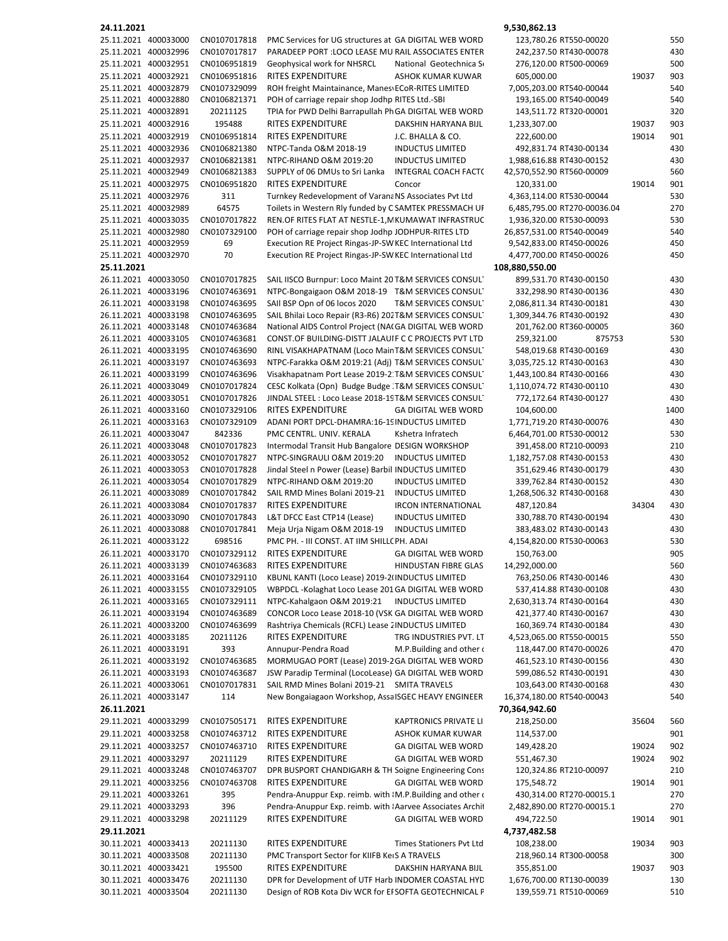| 24.11.2021 |                                              |                              |                                                                                                          |                                | 9,530,862.13                                     |       |            |
|------------|----------------------------------------------|------------------------------|----------------------------------------------------------------------------------------------------------|--------------------------------|--------------------------------------------------|-------|------------|
|            | 25.11.2021 400033000                         | CN0107017818                 | PMC Services for UG structures at GA DIGITAL WEB WORD                                                    |                                | 123,780.26 RT550-00020                           |       | 550        |
|            | 25.11.2021 400032996                         | CN0107017817                 | PARADEEP PORT : LOCO LEASE MU RAIL ASSOCIATES ENTER                                                      |                                | 242,237.50 RT430-00078                           |       | 430        |
|            | 25.11.2021 400032951                         | CN0106951819                 | Geophysical work for NHSRCL                                                                              | National Geotechnica S         | 276,120.00 RT500-00069                           |       | 500        |
|            | 25.11.2021 400032921<br>25.11.2021 400032879 | CN0106951816<br>CN0107329099 | <b>RITES EXPENDITURE</b><br>ROH freight Maintainance, Manes ECoR-RITES LIMITED                           | ASHOK KUMAR KUWAR              | 605,000.00<br>7,005,203.00 RT540-00044           | 19037 | 903<br>540 |
|            | 25.11.2021 400032880                         | CN0106821371                 | POH of carriage repair shop Jodhp RITES Ltd.-SBI                                                         |                                | 193,165.00 RT540-00049                           |       | 540        |
|            | 25.11.2021 400032891                         | 20211125                     | TPIA for PWD Delhi Barrapullah PhGA DIGITAL WEB WORD                                                     |                                | 143,511.72 RT320-00001                           |       | 320        |
|            | 25.11.2021 400032916                         | 195488                       | RITES EXPENDITURE                                                                                        | DAKSHIN HARYANA BIJL           | 1,233,307.00                                     | 19037 | 903        |
|            | 25.11.2021 400032919                         | CN0106951814                 | <b>RITES EXPENDITURE</b>                                                                                 | J.C. BHALLA & CO.              | 222,600.00                                       | 19014 | 901        |
|            | 25.11.2021 400032936                         | CN0106821380                 | NTPC-Tanda O&M 2018-19                                                                                   | <b>INDUCTUS LIMITED</b>        | 492,831.74 RT430-00134                           |       | 430        |
|            | 25.11.2021 400032937                         | CN0106821381                 | NTPC-RIHAND O&M 2019:20                                                                                  | <b>INDUCTUS LIMITED</b>        | 1,988,616.88 RT430-00152                         |       | 430        |
|            | 25.11.2021 400032949                         | CN0106821383                 | SUPPLY of 06 DMUs to Sri Lanka                                                                           | <b>INTEGRAL COACH FACT(</b>    | 42,570,552.90 RT560-00009                        |       | 560        |
|            | 25.11.2021 400032975                         | CN0106951820                 | <b>RITES EXPENDITURE</b>                                                                                 | Concor                         | 120,331.00                                       | 19014 | 901        |
|            | 25.11.2021 400032976                         | 311                          | Turnkey Redevelopment of Varana NS Associates Pvt Ltd                                                    |                                | 4,363,114.00 RT530-00044                         |       | 530        |
|            | 25.11.2021 400032989                         | 64575                        | Toilets in Western Rly funded by CSAMTEK PRESSMACH UF                                                    |                                | 6,485,795.00 RT270-00036.04                      |       | 270        |
|            | 25.11.2021 400033035                         | CN0107017822                 | REN.OF RITES FLAT AT NESTLE-1, N KUMAWAT INFRASTRUC                                                      |                                | 1,936,320.00 RT530-00093                         |       | 530        |
|            | 25.11.2021 400032980                         | CN0107329100                 | POH of carriage repair shop Jodhp JODHPUR-RITES LTD                                                      |                                | 26,857,531.00 RT540-00049                        |       | 540        |
|            | 25.11.2021 400032959                         | 69                           | Execution RE Project Ringas-JP-SW KEC International Ltd                                                  |                                | 9,542,833.00 RT450-00026                         |       | 450        |
|            | 25.11.2021 400032970                         | 70                           | Execution RE Project Ringas-JP-SW KEC International Ltd                                                  |                                | 4,477,700.00 RT450-00026                         |       | 450        |
| 25.11.2021 | 26.11.2021 400033050                         | CN0107017825                 |                                                                                                          |                                | 108,880,550.00                                   |       | 430        |
|            | 26.11.2021 400033196                         | CN0107463691                 | SAIL IISCO Burnpur: Loco Maint 20 T&M SERVICES CONSUL<br>NTPC-Bongaigaon O&M 2018-19 T&M SERVICES CONSUL |                                | 899,531.70 RT430-00150<br>332,298.90 RT430-00136 |       | 430        |
|            | 26.11.2021 400033198                         | CN0107463695                 | SAII BSP Opn of 06 locos 2020                                                                            | <b>T&amp;M SERVICES CONSUL</b> | 2,086,811.34 RT430-00181                         |       | 430        |
|            | 26.11.2021 400033198                         | CN0107463695                 | SAIL Bhilai Loco Repair (R3-R6) 202T&M SERVICES CONSUL                                                   |                                | 1,309,344.76 RT430-00192                         |       | 430        |
|            | 26.11.2021 400033148                         | CN0107463684                 | National AIDS Control Project (NAIGA DIGITAL WEB WORD                                                    |                                | 201,762.00 RT360-00005                           |       | 360        |
|            | 26.11.2021 400033105                         | CN0107463681                 | CONST.OF BUILDING-DISTT JALAUIF C C PROJECTS PVT LTD                                                     |                                | 259,321.00<br>875753                             |       | 530        |
|            | 26.11.2021 400033195                         | CN0107463690                 | RINL VISAKHAPATNAM (Loco Main T&M SERVICES CONSUL'                                                       |                                | 548,019.68 RT430-00169                           |       | 430        |
|            | 26.11.2021 400033197                         | CN0107463693                 | NTPC-Farakka O&M 2019:21 (Adj) T&M SERVICES CONSUL                                                       |                                | 3,035,725.12 RT430-00163                         |       | 430        |
|            | 26.11.2021 400033199                         | CN0107463696                 | Visakhapatnam Port Lease 2019-2 T&M SERVICES CONSUL                                                      |                                | 1,443,100.84 RT430-00166                         |       | 430        |
|            | 26.11.2021 400033049                         | CN0107017824                 | CESC Kolkata (Opn) Budge Budge T&M SERVICES CONSUL                                                       |                                | 1,110,074.72 RT430-00110                         |       | 430        |
|            | 26.11.2021 400033051                         | CN0107017826                 | JINDAL STEEL : Loco Lease 2018-19 T&M SERVICES CONSUL                                                    |                                | 772,172.64 RT430-00127                           |       | 430        |
|            | 26.11.2021 400033160                         | CN0107329106                 | RITES EXPENDITURE                                                                                        | <b>GA DIGITAL WEB WORD</b>     | 104,600.00                                       |       | 1400       |
|            | 26.11.2021 400033163                         | CN0107329109                 | ADANI PORT DPCL-DHAMRA:16-19 INDUCTUS LIMITED                                                            |                                | 1,771,719.20 RT430-00076                         |       | 430        |
|            | 26.11.2021 400033047                         | 842336                       | PMC CENTRL. UNIV. KERALA                                                                                 | Kshetra Infratech              | 6,464,701.00 RT530-00012                         |       | 530        |
|            | 26.11.2021 400033048                         | CN0107017823                 | Intermodal Transit Hub Bangalore DESIGN WORKSHOP                                                         |                                | 391,458.00 RT210-00093                           |       | 210        |
|            | 26.11.2021 400033052                         | CN0107017827                 | NTPC-SINGRAULI O&M 2019:20                                                                               | <b>INDUCTUS LIMITED</b>        | 1,182,757.08 RT430-00153                         |       | 430        |
|            | 26.11.2021 400033053                         | CN0107017828                 | Jindal Steel n Power (Lease) Barbil INDUCTUS LIMITED                                                     |                                | 351,629.46 RT430-00179                           |       | 430        |
|            | 26.11.2021 400033054                         | CN0107017829                 | NTPC-RIHAND O&M 2019:20                                                                                  | <b>INDUCTUS LIMITED</b>        | 339,762.84 RT430-00152                           |       | 430        |
|            | 26.11.2021 400033089                         | CN0107017842                 | SAIL RMD Mines Bolani 2019-21                                                                            | <b>INDUCTUS LIMITED</b>        | 1,268,506.32 RT430-00168                         |       | 430        |
|            | 26.11.2021 400033084                         | CN0107017837                 | RITES EXPENDITURE                                                                                        | <b>IRCON INTERNATIONAL</b>     | 487,120.84                                       | 34304 | 430        |
|            | 26.11.2021 400033090                         | CN0107017843                 | L&T DFCC East CTP14 (Lease)                                                                              | <b>INDUCTUS LIMITED</b>        | 330,788.70 RT430-00194                           |       | 430        |
|            | 26.11.2021 400033088                         | CN0107017841                 | Meja Urja Nigam O&M 2018-19                                                                              | <b>INDUCTUS LIMITED</b>        | 383,483.02 RT430-00143                           |       | 430        |
|            | 26.11.2021 400033122                         | 698516                       | PMC PH. - III CONST. AT IIM SHILL(PH. ADAI                                                               |                                | 4,154,820.00 RT530-00063                         |       | 530        |
|            | 26.11.2021 400033170                         | CN0107329112                 | <b>RITES EXPENDITURE</b>                                                                                 | <b>GA DIGITAL WEB WORD</b>     | 150,763.00                                       |       | 905        |
|            | 26.11.2021 400033139                         | CN0107463683                 | RITES EXPENDITURE                                                                                        | <b>HINDUSTAN FIBRE GLAS</b>    | 14,292,000.00                                    |       | 560        |
|            | 26.11.2021 400033164                         | CN0107329110                 | KBUNL KANTI (Loco Lease) 2019-2(INDUCTUS LIMITED                                                         |                                | 763,250.06 RT430-00146                           |       | 430        |
|            | 26.11.2021 400033155                         | CN0107329105                 | WBPDCL-Kolaghat Loco Lease 201 GA DIGITAL WEB WORD                                                       |                                | 537,414.88 RT430-00108                           |       | 430        |
|            | 26.11.2021 400033165                         | CN0107329111                 | NTPC-Kahalgaon O&M 2019:21                                                                               | <b>INDUCTUS LIMITED</b>        | 2,630,313.74 RT430-00164                         |       | 430        |
|            | 26.11.2021 400033194                         | CN0107463689                 | CONCOR Loco Lease 2018-10 (VSK GA DIGITAL WEB WORD                                                       |                                | 421,377.40 RT430-00167                           |       | 430        |
|            | 26.11.2021 400033200                         | CN0107463699                 | Rashtriya Chemicals (RCFL) Lease 2 INDUCTUS LIMITED                                                      |                                | 160,369.74 RT430-00184                           |       | 430        |
|            | 26.11.2021 400033185                         | 20211126                     | RITES EXPENDITURE                                                                                        | TRG INDUSTRIES PVT. LT         | 4,523,065.00 RT550-00015                         |       | 550        |
|            | 26.11.2021 400033191                         | 393                          | Annupur-Pendra Road                                                                                      | M.P.Building and other of      | 118,447.00 RT470-00026                           |       | 470        |
|            | 26.11.2021 400033192                         | CN0107463685                 | MORMUGAO PORT (Lease) 2019-2 GA DIGITAL WEB WORD                                                         |                                | 461,523.10 RT430-00156                           |       | 430        |
|            | 26.11.2021 400033193                         | CN0107463687                 | JSW Paradip Terminal (LocoLease) GA DIGITAL WEB WORD                                                     |                                | 599,086.52 RT430-00191                           |       | 430        |
|            | 26.11.2021 400033061                         | CN0107017831                 | SAIL RMD Mines Bolani 2019-21 SMITA TRAVELS                                                              |                                | 103,643.00 RT430-00168                           |       | 430        |
|            | 26.11.2021 400033147                         | 114                          | New Bongaiagaon Workshop, Assa ISGEC HEAVY ENGINEER                                                      |                                | 16,374,180.00 RT540-00043                        |       | 540        |
| 26.11.2021 |                                              |                              |                                                                                                          |                                | 70,364,942.60                                    |       |            |
|            | 29.11.2021 400033299                         | CN0107505171                 | RITES EXPENDITURE                                                                                        | KAPTRONICS PRIVATE LI          | 218,250.00                                       | 35604 | 560        |
|            | 29.11.2021 400033258                         | CN0107463712                 | RITES EXPENDITURE                                                                                        | ASHOK KUMAR KUWAR              | 114,537.00                                       |       | 901        |
|            | 29.11.2021 400033257                         | CN0107463710                 | RITES EXPENDITURE                                                                                        | <b>GA DIGITAL WEB WORD</b>     | 149,428.20                                       | 19024 | 902        |
|            | 29.11.2021 400033297                         | 20211129                     | RITES EXPENDITURE                                                                                        | <b>GA DIGITAL WEB WORD</b>     | 551,467.30                                       | 19024 | 902        |
|            | 29.11.2021 400033248                         | CN0107463707                 | DPR BUSPORT CHANDIGARH & TH Soigne Engineering Cons                                                      |                                | 120,324.86 RT210-00097                           |       | 210        |
|            | 29.11.2021 400033256                         | CN0107463708                 | RITES EXPENDITURE                                                                                        | <b>GA DIGITAL WEB WORD</b>     | 175,548.72                                       | 19014 | 901        |
|            | 29.11.2021 400033261                         | 395                          | Pendra-Anuppur Exp. reimb. with IM.P.Building and other o                                                |                                | 430,314.00 RT270-00015.1                         |       | 270        |
|            | 29.11.2021 400033293                         | 396                          | Pendra-Anuppur Exp. reimb. with Aarvee Associates Archit                                                 |                                | 2,482,890.00 RT270-00015.1                       |       | 270        |
|            | 29.11.2021 400033298                         | 20211129                     | RITES EXPENDITURE                                                                                        | <b>GA DIGITAL WEB WORD</b>     | 494,722.50                                       | 19014 | 901        |
| 29.11.2021 |                                              |                              |                                                                                                          |                                | 4,737,482.58                                     |       |            |
|            | 30.11.2021 400033413                         | 20211130                     | RITES EXPENDITURE                                                                                        | Times Stationers Pvt Ltd       | 108,238.00                                       | 19034 | 903        |
|            | 30.11.2021 400033508                         | 20211130                     | PMC Transport Sector for KIIFB KeIS A TRAVELS                                                            |                                | 218,960.14 RT300-00058                           |       | 300        |
|            | 30.11.2021 400033421                         | 195500                       | <b>RITES EXPENDITURE</b>                                                                                 | DAKSHIN HARYANA BIJL           | 355,851.00                                       | 19037 | 903        |
|            | 30.11.2021 400033476                         | 20211130                     | DPR for Development of UTF Harb INDOMER COASTAL HYD                                                      |                                | 1,676,700.00 RT130-00039                         |       | 130        |
|            | 30.11.2021 400033504                         | 20211130                     | Design of ROB Kota Div WCR for EI SOFTA GEOTECHNICAL P                                                   |                                | 139,559.71 RT510-00069                           |       | 510        |